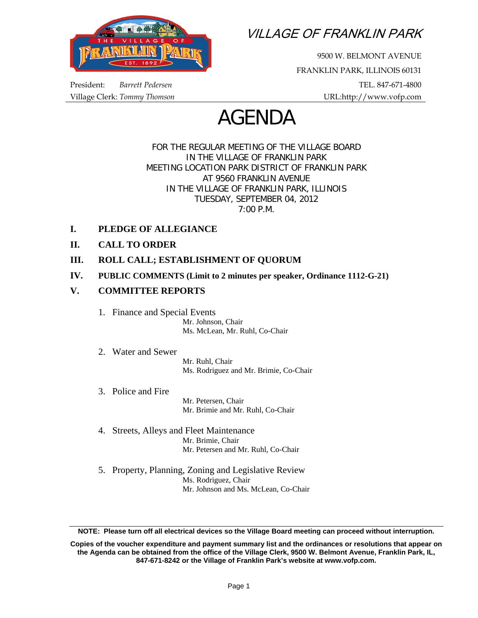

VILLAGE OF FRANKLIN PARK

9500 W. BELMONT AVENUE FRANKLIN PARK, ILLINOIS 60131 President: *Barrett Pedersen* TEL. 847-671-4800 Village Clerk: *Tommy Thomson* URL:http://www.vofp.com

# AGENDA

FOR THE REGULAR MEETING OF THE VILLAGE BOARD IN THE VILLAGE OF FRANKLIN PARK MEETING LOCATION PARK DISTRICT OF FRANKLIN PARK AT 9560 FRANKLIN AVENUE IN THE VILLAGE OF FRANKLIN PARK, ILLINOIS TUESDAY, SEPTEMBER 04, 2012 7:00 P.M.

- **I. PLEDGE OF ALLEGIANCE**
- **II. CALL TO ORDER**
- **III. ROLL CALL; ESTABLISHMENT OF QUORUM**
- **IV. PUBLIC COMMENTS (Limit to 2 minutes per speaker, Ordinance 1112-G-21)**

# **V. COMMITTEE REPORTS**

1. Finance and Special Events

 Mr. Johnson, Chair Ms. McLean, Mr. Ruhl, Co-Chair

2. Water and Sewer

 Mr. Ruhl, Chair Ms. Rodriguez and Mr. Brimie, Co-Chair

3. Police and Fire

 Mr. Petersen, Chair Mr. Brimie and Mr. Ruhl, Co-Chair

- 4. Streets, Alleys and Fleet Maintenance Mr. Brimie, Chair Mr. Petersen and Mr. Ruhl, Co-Chair
- 5. Property, Planning, Zoning and Legislative Review Ms. Rodriguez, Chair Mr. Johnson and Ms. McLean, Co-Chair

**NOTE: Please turn off all electrical devices so the Village Board meeting can proceed without interruption.** 

**Copies of the voucher expenditure and payment summary list and the ordinances or resolutions that appear on the Agenda can be obtained from the office of the Village Clerk, 9500 W. Belmont Avenue, Franklin Park, IL, 847-671-8242 or the Village of Franklin Park's website at www.vofp.com.**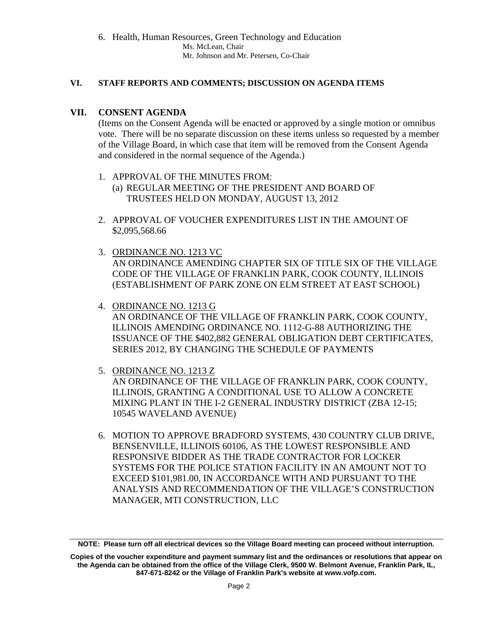6. Health, Human Resources, Green Technology and Education Ms. McLean, Chair Mr. Johnson and Mr. Petersen, Co-Chair

### **VI. STAFF REPORTS AND COMMENTS; DISCUSSION ON AGENDA ITEMS**

## **VII. CONSENT AGENDA**

(Items on the Consent Agenda will be enacted or approved by a single motion or omnibus vote. There will be no separate discussion on these items unless so requested by a member of the Village Board, in which case that item will be removed from the Consent Agenda and considered in the normal sequence of the Agenda.)

- 1. APPROVAL OF THE MINUTES FROM: (a) REGULAR MEETING OF THE PRESIDENT AND BOARD OF TRUSTEES HELD ON MONDAY, AUGUST 13, 2012
- 2. APPROVAL OF VOUCHER EXPENDITURES LIST IN THE AMOUNT OF \$2,095,568.66
- 3. ORDINANCE NO. 1213 VC AN ORDINANCE AMENDING CHAPTER SIX OF TITLE SIX OF THE VILLAGE CODE OF THE VILLAGE OF FRANKLIN PARK, COOK COUNTY, ILLINOIS (ESTABLISHMENT OF PARK ZONE ON ELM STREET AT EAST SCHOOL)
- 4. ORDINANCE NO. 1213 G AN ORDINANCE OF THE VILLAGE OF FRANKLIN PARK, COOK COUNTY, ILLINOIS AMENDING ORDINANCE NO. 1112-G-88 AUTHORIZING THE ISSUANCE OF THE \$402,882 GENERAL OBLIGATION DEBT CERTIFICATES, SERIES 2012, BY CHANGING THE SCHEDULE OF PAYMENTS
- 5. ORDINANCE NO. 1213 Z AN ORDINANCE OF THE VILLAGE OF FRANKLIN PARK, COOK COUNTY, ILLINOIS, GRANTING A CONDITIONAL USE TO ALLOW A CONCRETE MIXING PLANT IN THE I-2 GENERAL INDUSTRY DISTRICT (ZBA 12-15; 10545 WAVELAND AVENUE)
- 6. MOTION TO APPROVE BRADFORD SYSTEMS, 430 COUNTRY CLUB DRIVE, BENSENVILLE, ILLINOIS 60106, AS THE LOWEST RESPONSIBLE AND RESPONSIVE BIDDER AS THE TRADE CONTRACTOR FOR LOCKER SYSTEMS FOR THE POLICE STATION FACILITY IN AN AMOUNT NOT TO EXCEED \$101,981.00, IN ACCORDANCE WITH AND PURSUANT TO THE ANALYSIS AND RECOMMENDATION OF THE VILLAGE'S CONSTRUCTION MANAGER, MTI CONSTRUCTION, LLC

**NOTE: Please turn off all electrical devices so the Village Board meeting can proceed without interruption.** 

**Copies of the voucher expenditure and payment summary list and the ordinances or resolutions that appear on the Agenda can be obtained from the office of the Village Clerk, 9500 W. Belmont Avenue, Franklin Park, IL, 847-671-8242 or the Village of Franklin Park's website at www.vofp.com.**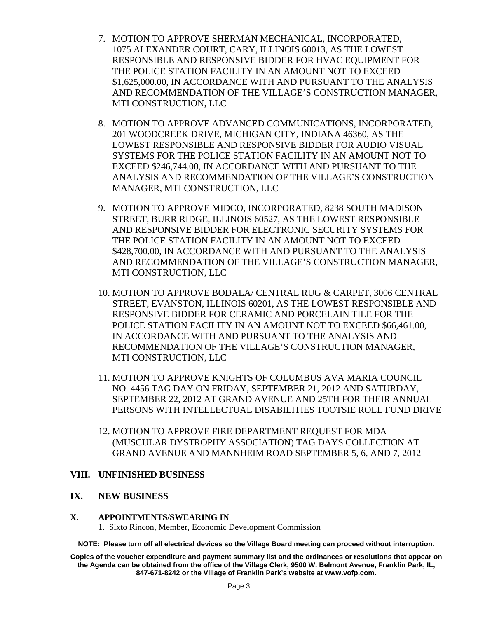- 7. MOTION TO APPROVE SHERMAN MECHANICAL, INCORPORATED, 1075 ALEXANDER COURT, CARY, ILLINOIS 60013, AS THE LOWEST RESPONSIBLE AND RESPONSIVE BIDDER FOR HVAC EQUIPMENT FOR THE POLICE STATION FACILITY IN AN AMOUNT NOT TO EXCEED \$1,625,000.00, IN ACCORDANCE WITH AND PURSUANT TO THE ANALYSIS AND RECOMMENDATION OF THE VILLAGE'S CONSTRUCTION MANAGER, MTI CONSTRUCTION, LLC
- 8. MOTION TO APPROVE ADVANCED COMMUNICATIONS, INCORPORATED, 201 WOODCREEK DRIVE, MICHIGAN CITY, INDIANA 46360, AS THE LOWEST RESPONSIBLE AND RESPONSIVE BIDDER FOR AUDIO VISUAL SYSTEMS FOR THE POLICE STATION FACILITY IN AN AMOUNT NOT TO EXCEED \$246,744.00, IN ACCORDANCE WITH AND PURSUANT TO THE ANALYSIS AND RECOMMENDATION OF THE VILLAGE'S CONSTRUCTION MANAGER, MTI CONSTRUCTION, LLC
- 9. MOTION TO APPROVE MIDCO, INCORPORATED, 8238 SOUTH MADISON STREET, BURR RIDGE, ILLINOIS 60527, AS THE LOWEST RESPONSIBLE AND RESPONSIVE BIDDER FOR ELECTRONIC SECURITY SYSTEMS FOR THE POLICE STATION FACILITY IN AN AMOUNT NOT TO EXCEED \$428,700.00, IN ACCORDANCE WITH AND PURSUANT TO THE ANALYSIS AND RECOMMENDATION OF THE VILLAGE'S CONSTRUCTION MANAGER, MTI CONSTRUCTION, LLC
- 10. MOTION TO APPROVE BODALA/ CENTRAL RUG & CARPET, 3006 CENTRAL STREET, EVANSTON, ILLINOIS 60201, AS THE LOWEST RESPONSIBLE AND RESPONSIVE BIDDER FOR CERAMIC AND PORCELAIN TILE FOR THE POLICE STATION FACILITY IN AN AMOUNT NOT TO EXCEED \$66,461.00, IN ACCORDANCE WITH AND PURSUANT TO THE ANALYSIS AND RECOMMENDATION OF THE VILLAGE'S CONSTRUCTION MANAGER, MTI CONSTRUCTION, LLC
- 11. MOTION TO APPROVE KNIGHTS OF COLUMBUS AVA MARIA COUNCIL NO. 4456 TAG DAY ON FRIDAY, SEPTEMBER 21, 2012 AND SATURDAY, SEPTEMBER 22, 2012 AT GRAND AVENUE AND 25TH FOR THEIR ANNUAL PERSONS WITH INTELLECTUAL DISABILITIES TOOTSIE ROLL FUND DRIVE
- 12. MOTION TO APPROVE FIRE DEPARTMENT REQUEST FOR MDA (MUSCULAR DYSTROPHY ASSOCIATION) TAG DAYS COLLECTION AT GRAND AVENUE AND MANNHEIM ROAD SEPTEMBER 5, 6, AND 7, 2012

## **VIII. UNFINISHED BUSINESS**

#### **IX. NEW BUSINESS**

#### **X. APPOINTMENTS/SWEARING IN**

1.Sixto Rincon, Member, Economic Development Commission

**NOTE: Please turn off all electrical devices so the Village Board meeting can proceed without interruption.** 

**Copies of the voucher expenditure and payment summary list and the ordinances or resolutions that appear on the Agenda can be obtained from the office of the Village Clerk, 9500 W. Belmont Avenue, Franklin Park, IL, 847-671-8242 or the Village of Franklin Park's website at www.vofp.com.**